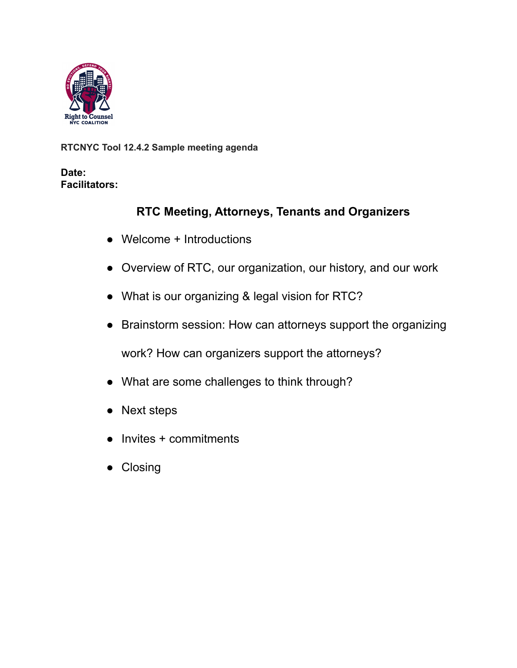

**RTCNYC Tool 12.4.2 Sample meeting agenda**

**Date: Facilitators:**

## **RTC Meeting, Attorneys, Tenants and Organizers**

- Welcome + Introductions
- Overview of RTC, our organization, our history, and our work
- What is our organizing & legal vision for RTC?
- Brainstorm session: How can attorneys support the organizing

work? How can organizers support the attorneys?

- What are some challenges to think through?
- Next steps
- Invites + commitments
- Closing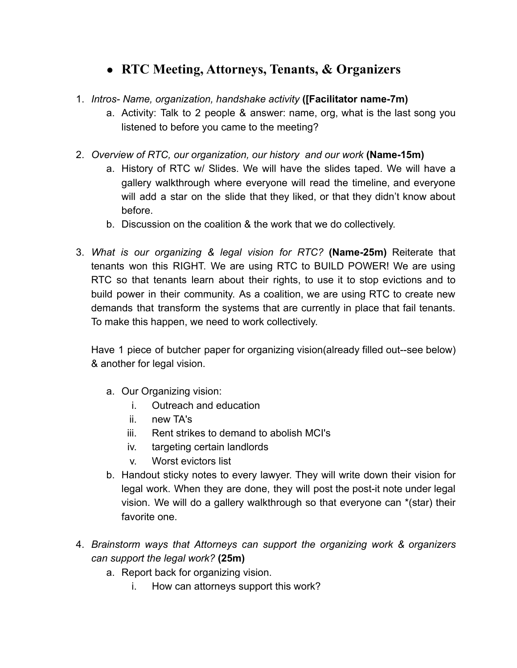## ● **RTC Meeting, Attorneys, Tenants, & Organizers**

- 1. *Intros- Name, organization, handshake activity* **([Facilitator name-7m)**
	- a. Activity: Talk to 2 people & answer: name, org, what is the last song you listened to before you came to the meeting?
- 2. *Overview of RTC, our organization, our history and our work* **(Name-15m)**
	- a. History of RTC w/ Slides. We will have the slides taped. We will have a gallery walkthrough where everyone will read the timeline, and everyone will add a star on the slide that they liked, or that they didn't know about before.
	- b. Discussion on the coalition & the work that we do collectively.
- 3. *What is our organizing & legal vision for RTC?* **(Name-25m)** Reiterate that tenants won this RIGHT. We are using RTC to BUILD POWER! We are using RTC so that tenants learn about their rights, to use it to stop evictions and to build power in their community. As a coalition, we are using RTC to create new demands that transform the systems that are currently in place that fail tenants. To make this happen, we need to work collectively.

Have 1 piece of butcher paper for organizing vision(already filled out--see below) & another for legal vision.

- a. Our Organizing vision:
	- i. Outreach and education
	- ii. new TA's
	- iii. Rent strikes to demand to abolish MCI's
	- iv. targeting certain landlords
	- v. Worst evictors list
- b. Handout sticky notes to every lawyer. They will write down their vision for legal work. When they are done, they will post the post-it note under legal vision. We will do a gallery walkthrough so that everyone can \*(star) their favorite one.
- 4. *Brainstorm ways that Attorneys can support the organizing work & organizers can support the legal work?* **(25m)**
	- a. Report back for organizing vision.
		- i. How can attorneys support this work?